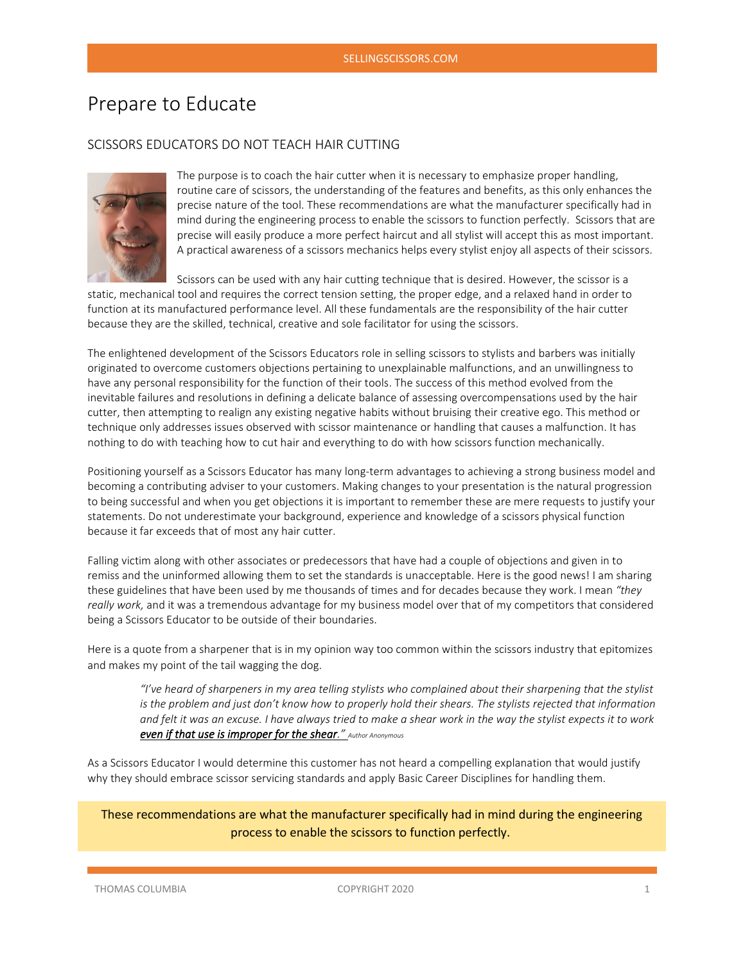# Prepare to Educate

## SCISSORS EDUCATORS DO NOT TEACH HAIR CUTTING



The purpose is to coach the hair cutter when it is necessary to emphasize proper handling, routine care of scissors, the understanding of the features and benefits, as this only enhances the precise nature of the tool. These recommendations are what the manufacturer specifically had in mind during the engineering process to enable the scissors to function perfectly. Scissors that are precise will easily produce a more perfect haircut and all stylist will accept this as most important. A practical awareness of a scissors mechanics helps every stylist enjoy all aspects of their scissors.

Scissors can be used with any hair cutting technique that is desired. However, the scissor is a static, mechanical tool and requires the correct tension setting, the proper edge, and a relaxed hand in order to function at its manufactured performance level. All these fundamentals are the responsibility of the hair cutter because they are the skilled, technical, creative and sole facilitator for using the scissors.

The enlightened development of the Scissors Educators role in selling scissors to stylists and barbers was initially originated to overcome customers objections pertaining to unexplainable malfunctions, and an unwillingness to have any personal responsibility for the function of their tools. The success of this method evolved from the inevitable failures and resolutions in defining a delicate balance of assessing overcompensations used by the hair cutter, then attempting to realign any existing negative habits without bruising their creative ego. This method or technique only addresses issues observed with scissor maintenance or handling that causes a malfunction. It has nothing to do with teaching how to cut hair and everything to do with how scissors function mechanically.

Positioning yourself as a Scissors Educator has many long-term advantages to achieving a strong business model and becoming a contributing adviser to your customers. Making changes to your presentation is the natural progression to being successful and when you get objections it is important to remember these are mere requests to justify your statements. Do not underestimate your background, experience and knowledge of a scissors physical function because it far exceeds that of most any hair cutter.

Falling victim along with other associates or predecessors that have had a couple of objections and given in to remiss and the uninformed allowing them to set the standards is unacceptable. Here is the good news! I am sharing these guidelines that have been used by me thousands of times and for decades because they work. I mean *"they really work,* and it was a tremendous advantage for my business model over that of my competitors that considered being a Scissors Educator to be outside of their boundaries.

Here is a quote from a sharpener that is in my opinion way too common within the scissors industry that epitomizes and makes my point of the tail wagging the dog.

*"I've heard of sharpeners in my area telling stylists who complained about their sharpening that the stylist is the problem and just don't know how to properly hold their shears. The stylists rejected that information and felt it was an excuse. I have always tried to make a shear work in the way the stylist expects it to work even if that use is improper for the shear." Author Anonymous*

As a Scissors Educator I would determine this customer has not heard a compelling explanation that would justify why they should embrace scissor servicing standards and apply Basic Career Disciplines for handling them.

These recommendations are what the manufacturer specifically had in mind during the engineering process to enable the scissors to function perfectly.

THOMAS COLUMBIA COPYRIGHT 2020 200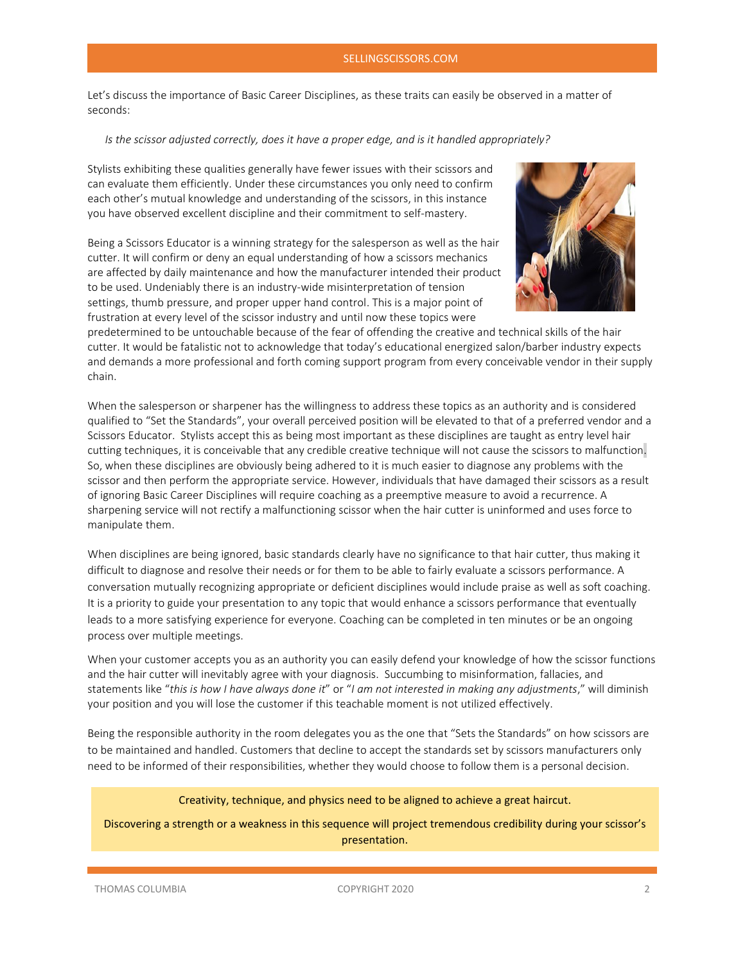#### SELLINGSCISSORS.COM

Let's discuss the importance of Basic Career Disciplines, as these traits can easily be observed in a matter of seconds:

#### *Is the scissor adjusted correctly, does it have a proper edge, and is it handled appropriately?*

Stylists exhibiting these qualities generally have fewer issues with their scissors and can evaluate them efficiently. Under these circumstances you only need to confirm each other's mutual knowledge and understanding of the scissors, in this instance you have observed excellent discipline and their commitment to self-mastery.

Being a Scissors Educator is a winning strategy for the salesperson as well as the hair cutter. It will confirm or deny an equal understanding of how a scissors mechanics are affected by daily maintenance and how the manufacturer intended their product to be used. Undeniably there is an industry-wide misinterpretation of tension settings, thumb pressure, and proper upper hand control. This is a major point of frustration at every level of the scissor industry and until now these topics were



predetermined to be untouchable because of the fear of offending the creative and technical skills of the hair cutter. It would be fatalistic not to acknowledge that today's educational energized salon/barber industry expects and demands a more professional and forth coming support program from every conceivable vendor in their supply chain.

When the salesperson or sharpener has the willingness to address these topics as an authority and is considered qualified to "Set the Standards", your overall perceived position will be elevated to that of a preferred vendor and a Scissors Educator. Stylists accept this as being most important as these disciplines are taught as entry level hair cutting techniques, it is conceivable that any credible creative technique will not cause the scissors to malfunction. So, when these disciplines are obviously being adhered to it is much easier to diagnose any problems with the scissor and then perform the appropriate service. However, individuals that have damaged their scissors as a result of ignoring Basic Career Disciplines will require coaching as a preemptive measure to avoid a recurrence. A sharpening service will not rectify a malfunctioning scissor when the hair cutter is uninformed and uses force to manipulate them.

When disciplines are being ignored, basic standards clearly have no significance to that hair cutter, thus making it difficult to diagnose and resolve their needs or for them to be able to fairly evaluate a scissors performance. A conversation mutually recognizing appropriate or deficient disciplines would include praise as well as soft coaching. It is a priority to guide your presentation to any topic that would enhance a scissors performance that eventually leads to a more satisfying experience for everyone. Coaching can be completed in ten minutes or be an ongoing process over multiple meetings.

When your customer accepts you as an authority you can easily defend your knowledge of how the scissor functions and the hair cutter will inevitably agree with your diagnosis. Succumbing to misinformation, fallacies, and statements like "*this is how I have always done it*" or "*I am not interested in making any adjustments*," will diminish your position and you will lose the customer if this teachable moment is not utilized effectively.

Being the responsible authority in the room delegates you as the one that "Sets the Standards" on how scissors are to be maintained and handled. Customers that decline to accept the standards set by scissors manufacturers only need to be informed of their responsibilities, whether they would choose to follow them is a personal decision.

### Creativity, technique, and physics need to be aligned to achieve a great haircut.

Discovering a strength or a weakness in this sequence will project tremendous credibility during your scissor's presentation.